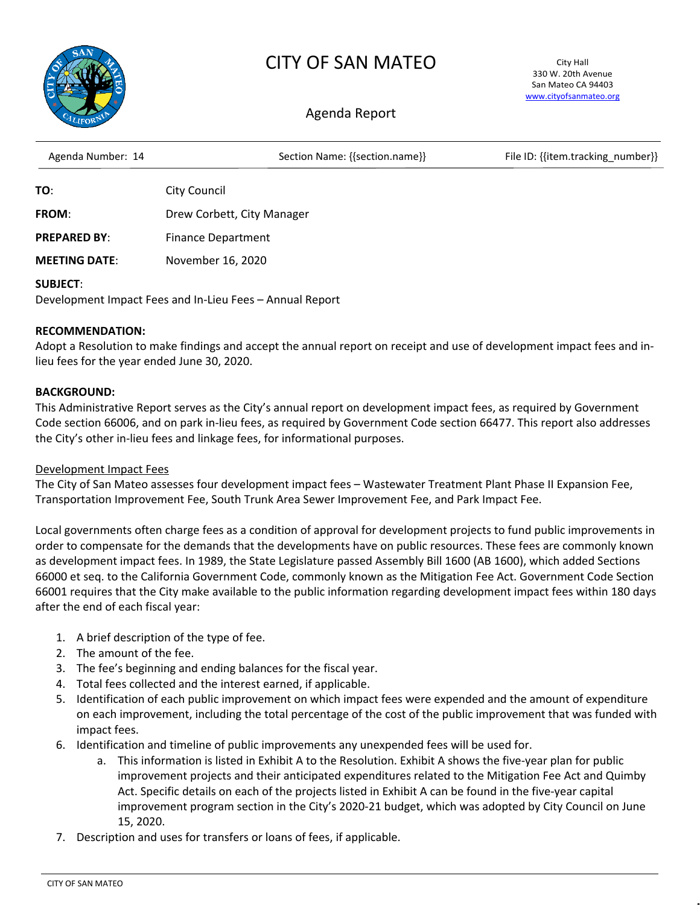

# CITY OF SAN MATEO

City Hall 330 W. 20th Avenue San Mateo CA 94403 [www.cityofsanmateo.org](http://www.cityofsanmateo.org/)

# Agenda Report

| Agenda Number: 14   | Section Name: {{section.name}} | File ID: {{item.tracking number}} |
|---------------------|--------------------------------|-----------------------------------|
| TO:                 | City Council                   |                                   |
| <b>FROM:</b>        | Drew Corbett, City Manager     |                                   |
| <b>PREPARED BY:</b> | <b>Finance Department</b>      |                                   |

**MEETING DATE**: November 16, 2020

#### **SUBJECT**:

Development Impact Fees and In-Lieu Fees – Annual Report

#### **RECOMMENDATION:**

Adopt a Resolution to make findings and accept the annual report on receipt and use of development impact fees and inlieu fees for the year ended June 30, 2020.

## **BACKGROUND:**

This Administrative Report serves as the City's annual report on development impact fees, as required by Government Code section 66006, and on park in-lieu fees, as required by Government Code section 66477. This report also addresses the City's other in-lieu fees and linkage fees, for informational purposes.

#### Development Impact Fees

The City of San Mateo assesses four development impact fees – Wastewater Treatment Plant Phase II Expansion Fee, Transportation Improvement Fee, South Trunk Area Sewer Improvement Fee, and Park Impact Fee.

Local governments often charge fees as a condition of approval for development projects to fund public improvements in order to compensate for the demands that the developments have on public resources. These fees are commonly known as development impact fees. In 1989, the State Legislature passed Assembly Bill 1600 (AB 1600), which added Sections 66000 et seq. to the California Government Code, commonly known as the Mitigation Fee Act. Government Code Section 66001 requires that the City make available to the public information regarding development impact fees within 180 days after the end of each fiscal year:

- 1. A brief description of the type of fee.
- 2. The amount of the fee.
- 3. The fee's beginning and ending balances for the fiscal year.
- 4. Total fees collected and the interest earned, if applicable.
- 5. Identification of each public improvement on which impact fees were expended and the amount of expenditure on each improvement, including the total percentage of the cost of the public improvement that was funded with impact fees.
- 6. Identification and timeline of public improvements any unexpended fees will be used for.
	- a. This information is listed in Exhibit A to the Resolution. Exhibit A shows the five-year plan for public improvement projects and their anticipated expenditures related to the Mitigation Fee Act and Quimby Act. Specific details on each of the projects listed in Exhibit A can be found in the five-year capital improvement program section in the City's 2020-21 budget, which was adopted by City Council on June 15, 2020.
- 7. Description and uses for transfers or loans of fees, if applicable.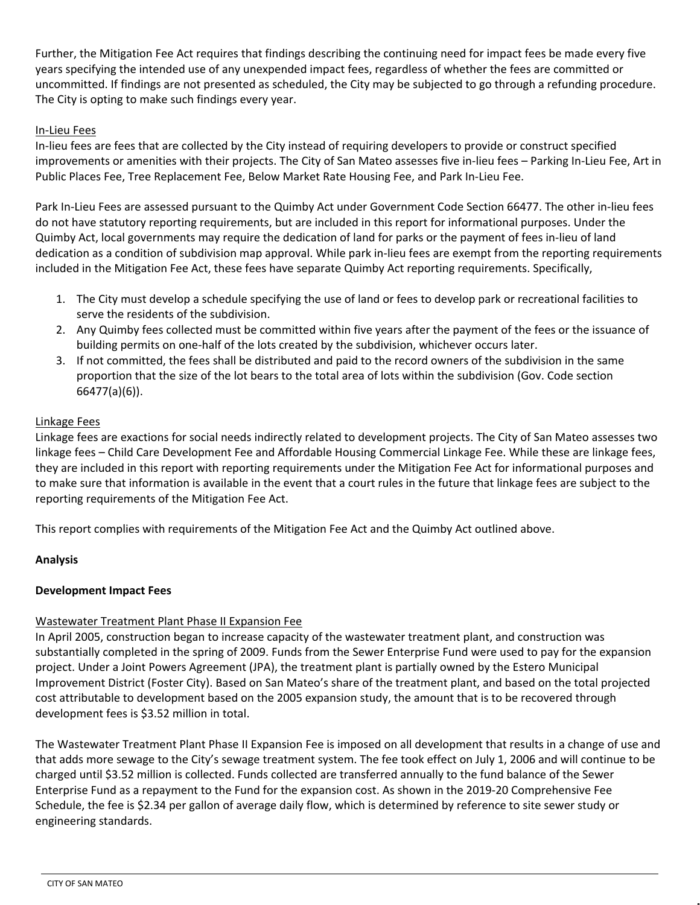Further, the Mitigation Fee Act requires that findings describing the continuing need for impact fees be made every five years specifying the intended use of any unexpended impact fees, regardless of whether the fees are committed or uncommitted. If findings are not presented as scheduled, the City may be subjected to go through a refunding procedure. The City is opting to make such findings every year.

# In-Lieu Fees

In-lieu fees are fees that are collected by the City instead of requiring developers to provide or construct specified improvements or amenities with their projects. The City of San Mateo assesses five in-lieu fees – Parking In-Lieu Fee, Art in Public Places Fee, Tree Replacement Fee, Below Market Rate Housing Fee, and Park In-Lieu Fee.

Park In-Lieu Fees are assessed pursuant to the Quimby Act under Government Code Section 66477. The other in-lieu fees do not have statutory reporting requirements, but are included in this report for informational purposes. Under the Quimby Act, local governments may require the dedication of land for parks or the payment of fees in-lieu of land dedication as a condition of subdivision map approval. While park in-lieu fees are exempt from the reporting requirements included in the Mitigation Fee Act, these fees have separate Quimby Act reporting requirements. Specifically,

- 1. The City must develop a schedule specifying the use of land or fees to develop park or recreational facilities to serve the residents of the subdivision.
- 2. Any Quimby fees collected must be committed within five years after the payment of the fees or the issuance of building permits on one-half of the lots created by the subdivision, whichever occurs later.
- 3. If not committed, the fees shall be distributed and paid to the record owners of the subdivision in the same proportion that the size of the lot bears to the total area of lots within the subdivision (Gov. Code section 66477(a)(6)).

## Linkage Fees

Linkage fees are exactions for social needs indirectly related to development projects. The City of San Mateo assesses two linkage fees – Child Care Development Fee and Affordable Housing Commercial Linkage Fee. While these are linkage fees, they are included in this report with reporting requirements under the Mitigation Fee Act for informational purposes and to make sure that information is available in the event that a court rules in the future that linkage fees are subject to the reporting requirements of the Mitigation Fee Act.

This report complies with requirements of the Mitigation Fee Act and the Quimby Act outlined above.

# **Analysis**

#### **Development Impact Fees**

# Wastewater Treatment Plant Phase II Expansion Fee

In April 2005, construction began to increase capacity of the wastewater treatment plant, and construction was substantially completed in the spring of 2009. Funds from the Sewer Enterprise Fund were used to pay for the expansion project. Under a Joint Powers Agreement (JPA), the treatment plant is partially owned by the Estero Municipal Improvement District (Foster City). Based on San Mateo's share of the treatment plant, and based on the total projected cost attributable to development based on the 2005 expansion study, the amount that is to be recovered through development fees is \$3.52 million in total.

The Wastewater Treatment Plant Phase II Expansion Fee is imposed on all development that results in a change of use and that adds more sewage to the City's sewage treatment system. The fee took effect on July 1, 2006 and will continue to be charged until \$3.52 million is collected. Funds collected are transferred annually to the fund balance of the Sewer Enterprise Fund as a repayment to the Fund for the expansion cost. As shown in the 2019-20 Comprehensive Fee Schedule, the fee is \$2.34 per gallon of average daily flow, which is determined by reference to site sewer study or engineering standards.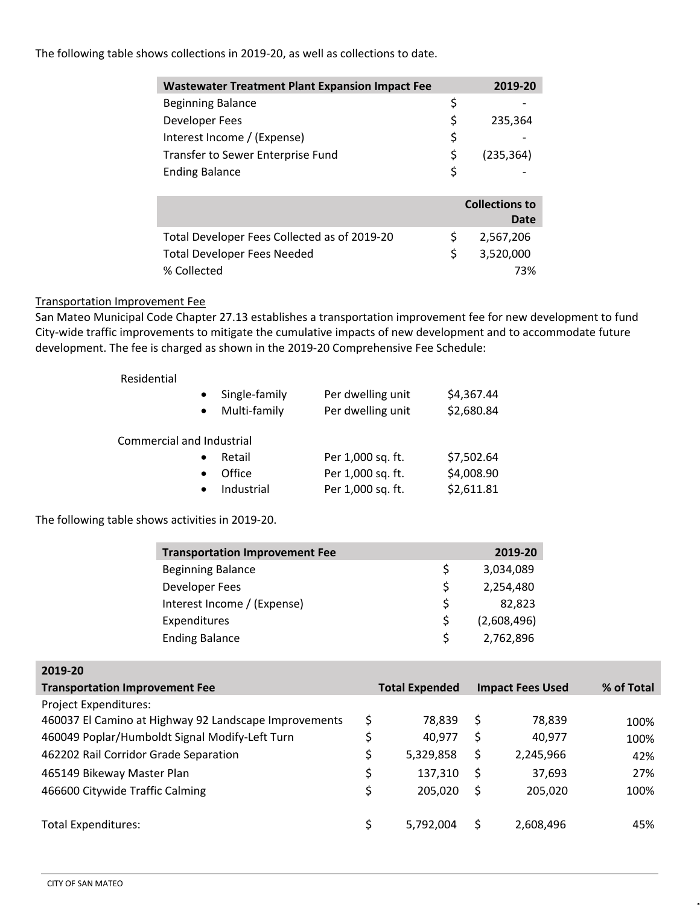#### The following table shows collections in 2019-20, as well as collections to date.

| <b>Wastewater Treatment Plant Expansion Impact Fee</b> | 2019-20               |
|--------------------------------------------------------|-----------------------|
| <b>Beginning Balance</b>                               | \$                    |
| Developer Fees                                         | \$<br>235,364         |
| Interest Income / (Expense)                            | \$                    |
| Transfer to Sewer Enterprise Fund                      | \$<br>(235, 364)      |
| <b>Ending Balance</b>                                  | \$                    |
|                                                        |                       |
|                                                        | <b>Collections to</b> |
|                                                        | Date                  |
| Total Developer Fees Collected as of 2019-20           | \$<br>2,567,206       |
| <b>Total Developer Fees Needed</b>                     | \$<br>3,520,000       |
| % Collected                                            | 73%                   |

# Transportation Improvement Fee

San Mateo Municipal Code Chapter 27.13 establishes a transportation improvement fee for new development to fund City-wide traffic improvements to mitigate the cumulative impacts of new development and to accommodate future development. The fee is charged as shown in the 2019-20 Comprehensive Fee Schedule:

Residential

| $\bullet$<br>$\bullet$    | Single-family<br>Multi-family | Per dwelling unit<br>Per dwelling unit | \$4,367.44<br>\$2,680.84 |
|---------------------------|-------------------------------|----------------------------------------|--------------------------|
| Commercial and Industrial |                               |                                        |                          |
|                           | Retail                        | Per 1,000 sq. ft.                      | \$7,502.64               |
| $\bullet$                 | Office                        | Per 1,000 sq. ft.                      | \$4,008.90               |
| $\bullet$                 | Industrial                    | Per 1,000 sq. ft.                      | \$2,611.81               |

The following table shows activities in 2019-20.

| <b>Transportation Improvement Fee</b> |    | 2019-20     |
|---------------------------------------|----|-------------|
| <b>Beginning Balance</b>              | \$ | 3,034,089   |
| Developer Fees                        | \$ | 2,254,480   |
| Interest Income / (Expense)           | \$ | 82,823      |
| Expenditures                          | Ś  | (2,608,496) |
| <b>Ending Balance</b>                 | S. | 2,762,896   |

| 2019-20                                               |    |                       |    |                         |            |
|-------------------------------------------------------|----|-----------------------|----|-------------------------|------------|
| <b>Transportation Improvement Fee</b>                 |    | <b>Total Expended</b> |    | <b>Impact Fees Used</b> | % of Total |
| <b>Project Expenditures:</b>                          |    |                       |    |                         |            |
| 460037 El Camino at Highway 92 Landscape Improvements | \$ | 78.839                | S  | 78,839                  | 100%       |
| 460049 Poplar/Humboldt Signal Modify-Left Turn        |    | 40,977                | S  | 40,977                  | 100%       |
| 462202 Rail Corridor Grade Separation                 | \$ | 5,329,858             | \$ | 2,245,966               | 42%        |
| 465149 Bikeway Master Plan                            | \$ | 137.310               | S  | 37,693                  | 27%        |
| 466600 Citywide Traffic Calming                       | \$ | 205.020               | \$ | 205,020                 | 100%       |
|                                                       |    |                       |    |                         |            |
| <b>Total Expenditures:</b>                            | Ś. | 5.792.004             |    | 2,608,496               | 45%        |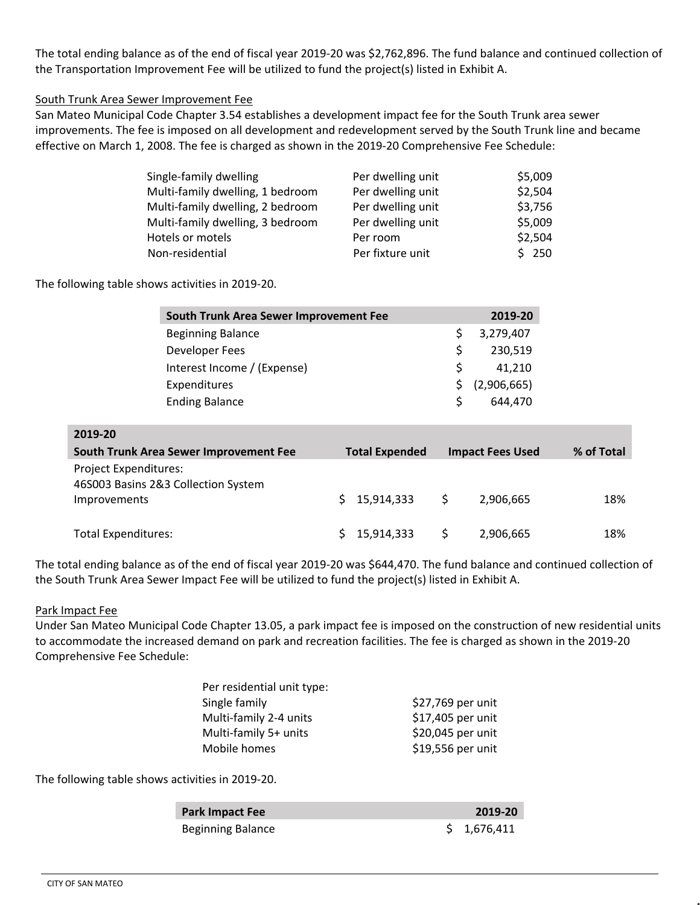The total ending balance as of the end of fiscal year 2019-20 was \$2,762,896. The fund balance and continued collection of the Transportation Improvement Fee will be utilized to fund the project(s) listed in Exhibit A.

South Trunk Area Sewer Improvement Fee

San Mateo Municipal Code Chapter 3.54 establishes a development impact fee for the South Trunk area sewer improvements. The fee is imposed on all development and redevelopment served by the South Trunk line and became effective on March 1, 2008. The fee is charged as shown in the 2019-20 Comprehensive Fee Schedule:

| Single-family dwelling           | Per dwelling unit | \$5,009 |
|----------------------------------|-------------------|---------|
| Multi-family dwelling, 1 bedroom | Per dwelling unit | \$2,504 |
| Multi-family dwelling, 2 bedroom | Per dwelling unit | \$3,756 |
| Multi-family dwelling, 3 bedroom | Per dwelling unit | \$5,009 |
| Hotels or motels                 | Per room          | \$2,504 |
| Non-residential                  | Per fixture unit  | \$250   |

The following table shows activities in 2019-20.

| South Trunk Area Sewer Improvement Fee |    | 2019-20        |
|----------------------------------------|----|----------------|
| <b>Beginning Balance</b>               |    | 3,279,407      |
| Developer Fees                         | S  | 230,519        |
| Interest Income / (Expense)            | S. | 41.210         |
| Expenditures                           |    | \$ (2,906,665) |
| <b>Ending Balance</b>                  | S. | 644.470        |

| 2019-20                                                             |                       |                         |            |
|---------------------------------------------------------------------|-----------------------|-------------------------|------------|
| South Trunk Area Sewer Improvement Fee                              | <b>Total Expended</b> | <b>Impact Fees Used</b> | % of Total |
| <b>Project Expenditures:</b><br>46S003 Basins 2&3 Collection System |                       |                         |            |
| Improvements                                                        | 15,914,333<br>S.      | 2,906,665               | 18%        |
| <b>Total Expenditures:</b>                                          | 15,914,333            | 2,906,665<br>S          | 18%        |

The total ending balance as of the end of fiscal year 2019-20 was \$644,470. The fund balance and continued collection of the South Trunk Area Sewer Impact Fee will be utilized to fund the project(s) listed in Exhibit A.

#### Park Impact Fee

Under San Mateo Municipal Code Chapter 13.05, a park impact fee is imposed on the construction of new residential units to accommodate the increased demand on park and recreation facilities. The fee is charged as shown in the 2019-20 Comprehensive Fee Schedule:

| Per residential unit type: |                   |
|----------------------------|-------------------|
| Single family              | \$27,769 per unit |
| Multi-family 2-4 units     | \$17,405 per unit |
| Multi-family 5+ units      | \$20,045 per unit |
| Mobile homes               | \$19,556 per unit |
|                            |                   |

The following table shows activities in 2019-20.

| <b>Park Impact Fee</b>   | 2019-20     |
|--------------------------|-------------|
| <b>Beginning Balance</b> | \$1,676,411 |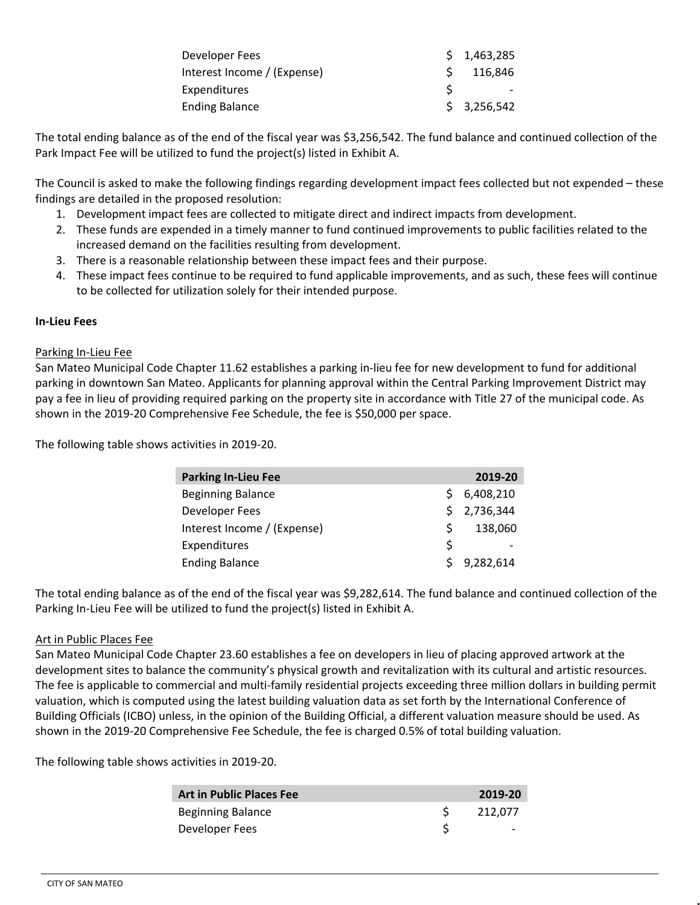| Developer Fees              | \$1,463,285 |
|-----------------------------|-------------|
| Interest Income / (Expense) | 116,846     |
| <b>Expenditures</b>         |             |
| <b>Ending Balance</b>       | \$3,256,542 |

The total ending balance as of the end of the fiscal year was \$3,256,542. The fund balance and continued collection of the Park Impact Fee will be utilized to fund the project(s) listed in Exhibit A.

The Council is asked to make the following findings regarding development impact fees collected but not expended – these findings are detailed in the proposed resolution:

- 1. Development impact fees are collected to mitigate direct and indirect impacts from development.
- 2. These funds are expended in a timely manner to fund continued improvements to public facilities related to the increased demand on the facilities resulting from development.
- 3. There is a reasonable relationship between these impact fees and their purpose.
- 4. These impact fees continue to be required to fund applicable improvements, and as such, these fees will continue to be collected for utilization solely for their intended purpose.

#### **In-Lieu Fees**

#### Parking In-Lieu Fee

San Mateo Municipal Code Chapter 11.62 establishes a parking in-lieu fee for new development to fund for additional parking in downtown San Mateo. Applicants for planning approval within the Central Parking Improvement District may pay a fee in lieu of providing required parking on the property site in accordance with Title 27 of the municipal code. As shown in the 2019-20 Comprehensive Fee Schedule, the fee is \$50,000 per space.

The following table shows activities in 2019-20.

| <b>Parking In-Lieu Fee</b>  |    | 2019-20   |
|-----------------------------|----|-----------|
| <b>Beginning Balance</b>    |    | 6,408,210 |
| Developer Fees              | S. | 2,736,344 |
| Interest Income / (Expense) | S  | 138,060   |
| Expenditures                | S  |           |
| <b>Ending Balance</b>       |    | 9,282,614 |

The total ending balance as of the end of the fiscal year was \$9,282,614. The fund balance and continued collection of the Parking In-Lieu Fee will be utilized to fund the project(s) listed in Exhibit A.

#### Art in Public Places Fee

San Mateo Municipal Code Chapter 23.60 establishes a fee on developers in lieu of placing approved artwork at the development sites to balance the community's physical growth and revitalization with its cultural and artistic resources. The fee is applicable to commercial and multi-family residential projects exceeding three million dollars in building permit valuation, which is computed using the latest building valuation data as set forth by the International Conference of Building Officials (ICBO) unless, in the opinion of the Building Official, a different valuation measure should be used. As shown in the 2019-20 Comprehensive Fee Schedule, the fee is charged 0.5% of total building valuation.

The following table shows activities in 2019-20.

| <b>Art in Public Places Fee</b> | 2019-20 |
|---------------------------------|---------|
| <b>Beginning Balance</b>        | 212.077 |
| Developer Fees                  |         |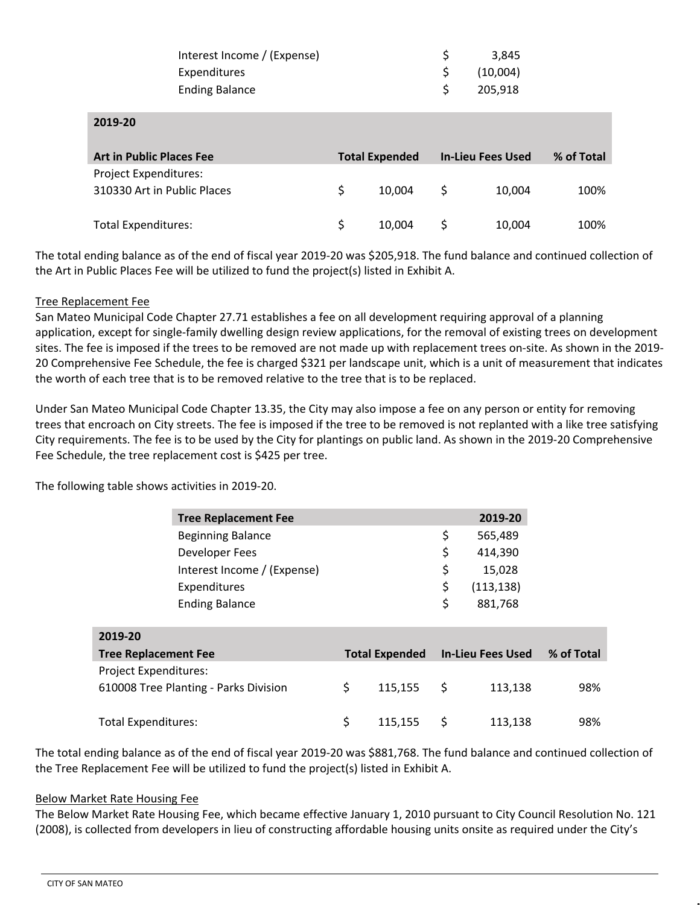| Interest Income / (Expense) | 3.845    |
|-----------------------------|----------|
| Expenditures                | (10,004) |
| <b>Ending Balance</b>       | 205.918  |

**2019-20**

| <b>Art in Public Places Fee</b> | <b>Total Expended</b> | <b>In-Lieu Fees Used</b> |        | % of Total |
|---------------------------------|-----------------------|--------------------------|--------|------------|
| Project Expenditures:           |                       |                          |        |            |
| 310330 Art in Public Places     | 10.004                |                          | 10,004 | 100%       |
| <b>Total Expenditures:</b>      | 10.004                |                          | 10,004 | 100%       |
|                                 |                       |                          |        |            |

The total ending balance as of the end of fiscal year 2019-20 was \$205,918. The fund balance and continued collection of the Art in Public Places Fee will be utilized to fund the project(s) listed in Exhibit A.

#### Tree Replacement Fee

San Mateo Municipal Code Chapter 27.71 establishes a fee on all development requiring approval of a planning application, except for single-family dwelling design review applications, for the removal of existing trees on development sites. The fee is imposed if the trees to be removed are not made up with replacement trees on-site. As shown in the 2019- 20 Comprehensive Fee Schedule, the fee is charged \$321 per landscape unit, which is a unit of measurement that indicates the worth of each tree that is to be removed relative to the tree that is to be replaced.

Under San Mateo Municipal Code Chapter 13.35, the City may also impose a fee on any person or entity for removing trees that encroach on City streets. The fee is imposed if the tree to be removed is not replanted with a like tree satisfying City requirements. The fee is to be used by the City for plantings on public land. As shown in the 2019-20 Comprehensive Fee Schedule, the tree replacement cost is \$425 per tree.

The following table shows activities in 2019-20.

|                              | <b>Tree Replacement Fee</b>           |                       |    | 2019-20                  |            |
|------------------------------|---------------------------------------|-----------------------|----|--------------------------|------------|
|                              | <b>Beginning Balance</b>              |                       | \$ | 565,489                  |            |
|                              | Developer Fees                        |                       | \$ | 414,390                  |            |
|                              | Interest Income / (Expense)           |                       | \$ | 15,028                   |            |
|                              | Expenditures                          |                       | \$ | (113, 138)               |            |
|                              | <b>Ending Balance</b>                 |                       | \$ | 881,768                  |            |
|                              |                                       |                       |    |                          |            |
| 2019-20                      |                                       |                       |    |                          |            |
| <b>Tree Replacement Fee</b>  |                                       | <b>Total Expended</b> |    | <b>In-Lieu Fees Used</b> | % of Total |
| <b>Project Expenditures:</b> |                                       |                       |    |                          |            |
|                              | 610008 Tree Planting - Parks Division | \$<br>115,155         | \$ | 113,138                  | 98%        |
|                              |                                       |                       |    |                          |            |
| <b>Total Expenditures:</b>   |                                       | \$<br>115,155         | S  | 113,138                  | 98%        |

The total ending balance as of the end of fiscal year 2019-20 was \$881,768. The fund balance and continued collection of the Tree Replacement Fee will be utilized to fund the project(s) listed in Exhibit A.

#### Below Market Rate Housing Fee

The Below Market Rate Housing Fee, which became effective January 1, 2010 pursuant to City Council Resolution No. 121 (2008), is collected from developers in lieu of constructing affordable housing units onsite as required under the City's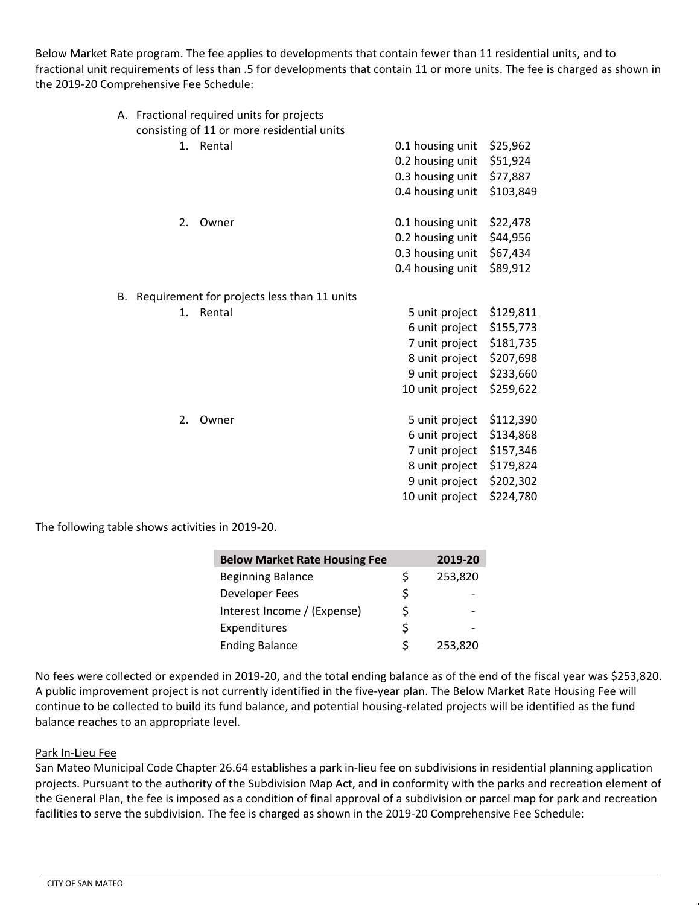Below Market Rate program. The fee applies to developments that contain fewer than 11 residential units, and to fractional unit requirements of less than .5 for developments that contain 11 or more units. The fee is charged as shown in the 2019-20 Comprehensive Fee Schedule:

|    |          |                                                                                                                                                           | \$25,962                                                                                                                                                                                                                                              |
|----|----------|-----------------------------------------------------------------------------------------------------------------------------------------------------------|-------------------------------------------------------------------------------------------------------------------------------------------------------------------------------------------------------------------------------------------------------|
|    |          |                                                                                                                                                           | \$51,924                                                                                                                                                                                                                                              |
|    |          |                                                                                                                                                           | \$77,887                                                                                                                                                                                                                                              |
|    |          |                                                                                                                                                           | \$103,849                                                                                                                                                                                                                                             |
|    |          |                                                                                                                                                           |                                                                                                                                                                                                                                                       |
| 2. | Owner    |                                                                                                                                                           | \$22,478                                                                                                                                                                                                                                              |
|    |          | 0.2 housing unit                                                                                                                                          | \$44,956                                                                                                                                                                                                                                              |
|    |          |                                                                                                                                                           | \$67,434                                                                                                                                                                                                                                              |
|    |          |                                                                                                                                                           | \$89,912                                                                                                                                                                                                                                              |
|    |          |                                                                                                                                                           |                                                                                                                                                                                                                                                       |
|    |          |                                                                                                                                                           |                                                                                                                                                                                                                                                       |
| 1. | Rental   | 5 unit project                                                                                                                                            | \$129,811                                                                                                                                                                                                                                             |
|    |          | 6 unit project                                                                                                                                            | \$155,773                                                                                                                                                                                                                                             |
|    |          | 7 unit project                                                                                                                                            | \$181,735                                                                                                                                                                                                                                             |
|    |          | 8 unit project                                                                                                                                            | \$207,698                                                                                                                                                                                                                                             |
|    |          | 9 unit project                                                                                                                                            | \$233,660                                                                                                                                                                                                                                             |
|    |          | 10 unit project                                                                                                                                           | \$259,622                                                                                                                                                                                                                                             |
|    |          |                                                                                                                                                           |                                                                                                                                                                                                                                                       |
|    |          |                                                                                                                                                           | \$112,390                                                                                                                                                                                                                                             |
|    |          |                                                                                                                                                           | \$134,868                                                                                                                                                                                                                                             |
|    |          |                                                                                                                                                           | \$157,346                                                                                                                                                                                                                                             |
|    |          |                                                                                                                                                           | \$179,824                                                                                                                                                                                                                                             |
|    |          |                                                                                                                                                           | \$202,302                                                                                                                                                                                                                                             |
|    |          |                                                                                                                                                           | \$224,780                                                                                                                                                                                                                                             |
|    | 1.<br>2. | A. Fractional required units for projects<br>consisting of 11 or more residential units<br>Rental<br>Requirement for projects less than 11 units<br>Owner | 0.1 housing unit<br>0.2 housing unit<br>0.3 housing unit<br>0.4 housing unit<br>0.1 housing unit<br>0.3 housing unit<br>0.4 housing unit<br>5 unit project<br>6 unit project<br>7 unit project<br>8 unit project<br>9 unit project<br>10 unit project |

The following table shows activities in 2019-20.

| <b>Below Market Rate Housing Fee</b> |    | 2019-20 |
|--------------------------------------|----|---------|
| <b>Beginning Balance</b>             | Ś  | 253,820 |
| Developer Fees                       | \$ |         |
| Interest Income / (Expense)          | Ś  |         |
| Expenditures                         | Ś  |         |
| <b>Ending Balance</b>                | Ś  | 253,820 |

No fees were collected or expended in 2019-20, and the total ending balance as of the end of the fiscal year was \$253,820. A public improvement project is not currently identified in the five-year plan. The Below Market Rate Housing Fee will continue to be collected to build its fund balance, and potential housing-related projects will be identified as the fund balance reaches to an appropriate level.

#### Park In-Lieu Fee

San Mateo Municipal Code Chapter 26.64 establishes a park in-lieu fee on subdivisions in residential planning application projects. Pursuant to the authority of the Subdivision Map Act, and in conformity with the parks and recreation element of the General Plan, the fee is imposed as a condition of final approval of a subdivision or parcel map for park and recreation facilities to serve the subdivision. The fee is charged as shown in the 2019-20 Comprehensive Fee Schedule: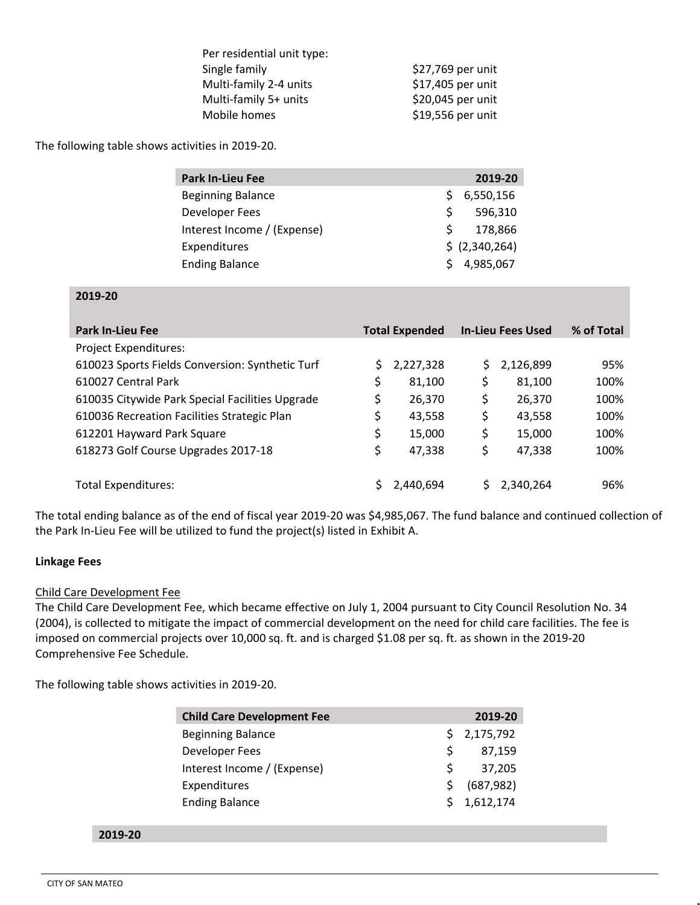| Per residential unit type: |                   |
|----------------------------|-------------------|
| Single family              | \$27,769 per unit |
| Multi-family 2-4 units     | \$17,405 per unit |
| Multi-family 5+ units      | \$20,045 per unit |
| Mobile homes               | \$19,556 per unit |
|                            |                   |

The following table shows activities in 2019-20.

| <b>Park In-Lieu Fee</b>     |    | 2019-20        |
|-----------------------------|----|----------------|
| <b>Beginning Balance</b>    | S. | 6,550,156      |
| Developer Fees              | S. | 596,310        |
| Interest Income / (Expense) | S. | 178.866        |
| Expenditures                |    | \$ (2,340,264) |
| <b>Ending Balance</b>       | S. | 4,985,067      |

#### **2019-20**

| <b>Park In-Lieu Fee</b>                         |    | <b>Total Expended</b> |    | <b>In-Lieu Fees Used</b> | % of Total |
|-------------------------------------------------|----|-----------------------|----|--------------------------|------------|
| <b>Project Expenditures:</b>                    |    |                       |    |                          |            |
| 610023 Sports Fields Conversion: Synthetic Turf | Ś. | 2,227,328             | Ś  | 2,126,899                | 95%        |
| 610027 Central Park                             | \$ | 81,100                | \$ | 81,100                   | 100%       |
| 610035 Citywide Park Special Facilities Upgrade | S  | 26,370                | \$ | 26,370                   | 100%       |
| 610036 Recreation Facilities Strategic Plan     | \$ | 43,558                | \$ | 43,558                   | 100%       |
| 612201 Hayward Park Square                      | \$ | 15,000                | \$ | 15,000                   | 100%       |
| 618273 Golf Course Upgrades 2017-18             | \$ | 47,338                | \$ | 47,338                   | 100%       |
|                                                 |    |                       |    |                          |            |
| Total Expenditures:                             |    | 2,440,694             |    | 2,340,264                | 96%        |

The total ending balance as of the end of fiscal year 2019-20 was \$4,985,067. The fund balance and continued collection of the Park In-Lieu Fee will be utilized to fund the project(s) listed in Exhibit A.

#### **Linkage Fees**

#### Child Care Development Fee

The Child Care Development Fee, which became effective on July 1, 2004 pursuant to City Council Resolution No. 34 (2004), is collected to mitigate the impact of commercial development on the need for child care facilities. The fee is imposed on commercial projects over 10,000 sq. ft. and is charged \$1.08 per sq. ft. as shown in the 2019-20 Comprehensive Fee Schedule.

The following table shows activities in 2019-20.

|    | 2019-20     |
|----|-------------|
| Ś. | 2,175,792   |
| Ŝ. | 87,159      |
| S. | 37,205      |
| S  | (687, 982)  |
|    | \$1,612,174 |
|    |             |

**2019-20**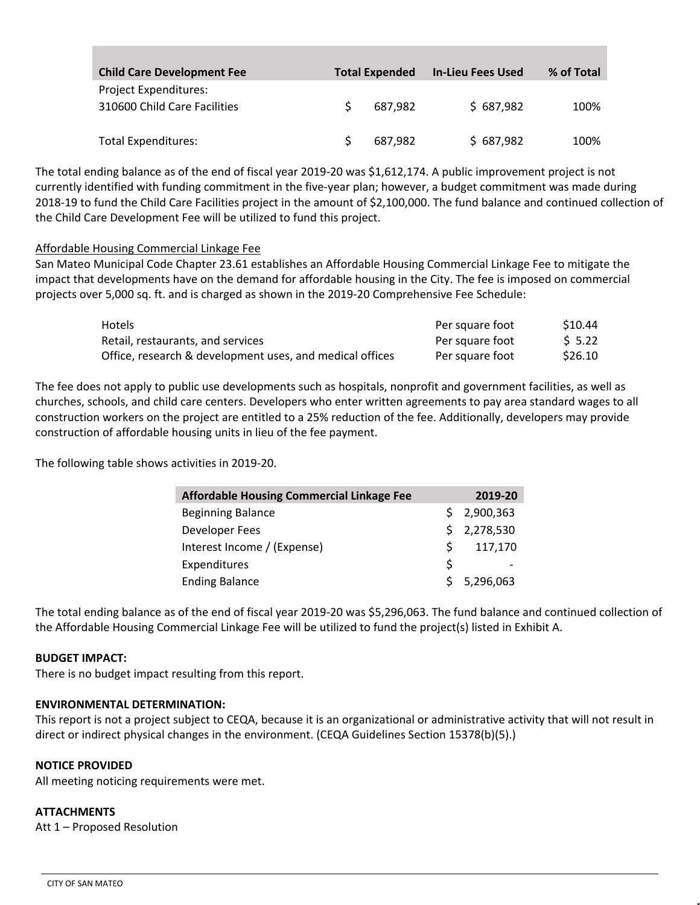| <b>Child Care Development Fee</b>                     | <b>Total Expended</b> | <b>In-Lieu Fees Used</b> | % of Total |
|-------------------------------------------------------|-----------------------|--------------------------|------------|
| Project Expenditures:<br>310600 Child Care Facilities | 687.982               | \$687,982                | 100%       |
| <b>Total Expenditures:</b>                            | 687.982               | \$687,982                | 100%       |

The total ending balance as of the end of fiscal year 2019-20 was \$1,612,174. A public improvement project is not currently identified with funding commitment in the five-year plan; however, a budget commitment was made during 2018-19 to fund the Child Care Facilities project in the amount of \$2,100,000. The fund balance and continued collection of the Child Care Development Fee will be utilized to fund this project.

#### Affordable Housing Commercial Linkage Fee

San Mateo Municipal Code Chapter 23.61 establishes an Affordable Housing Commercial Linkage Fee to mitigate the impact that developments have on the demand for affordable housing in the City. The fee is imposed on commercial projects over 5,000 sq. ft. and is charged as shown in the 2019-20 Comprehensive Fee Schedule:

| <b>Hotels</b>                                            | Per square foot | S10.44  |
|----------------------------------------------------------|-----------------|---------|
| Retail, restaurants, and services                        | Per square foot | \$ 5.22 |
| Office, research & development uses, and medical offices | Per square foot | \$26.10 |

The fee does not apply to public use developments such as hospitals, nonprofit and government facilities, as well as churches, schools, and child care centers. Developers who enter written agreements to pay area standard wages to all construction workers on the project are entitled to a 25% reduction of the fee. Additionally, developers may provide construction of affordable housing units in lieu of the fee payment.

The following table shows activities in 2019-20.

| <b>Affordable Housing Commercial Linkage Fee</b> |    | 2019-20     |
|--------------------------------------------------|----|-------------|
| <b>Beginning Balance</b>                         |    | \$2,900,363 |
| Developer Fees                                   |    | \$2,278,530 |
| Interest Income / (Expense)                      | Ŝ. | 117,170     |
| Expenditures                                     | Ś  |             |
| <b>Ending Balance</b>                            |    | \$5,296,063 |

The total ending balance as of the end of fiscal year 2019-20 was \$5,296,063. The fund balance and continued collection of the Affordable Housing Commercial Linkage Fee will be utilized to fund the project(s) listed in Exhibit A.

#### **BUDGET IMPACT:**

There is no budget impact resulting from this report.

#### **ENVIRONMENTAL DETERMINATION:**

This report is not a project subject to CEQA, because it is an organizational or administrative activity that will not result in direct or indirect physical changes in the environment. (CEQA Guidelines Section 15378(b)(5).)

#### **NOTICE PROVIDED**

All meeting noticing requirements were met.

#### **ATTACHMENTS**

Att 1 – Proposed Resolution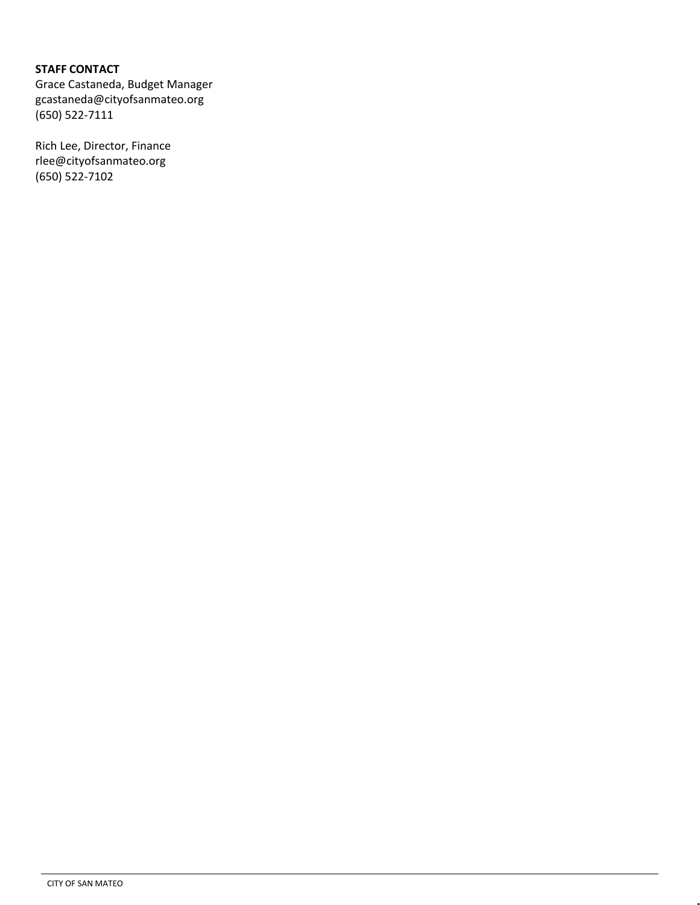# **STAFF CONTACT**

Grace Castaneda, Budget Manager gcastaneda@cityofsanmateo.org (650) 522-7111

Rich Lee, Director, Finance rlee@cityofsanmateo.org (650) 522-7102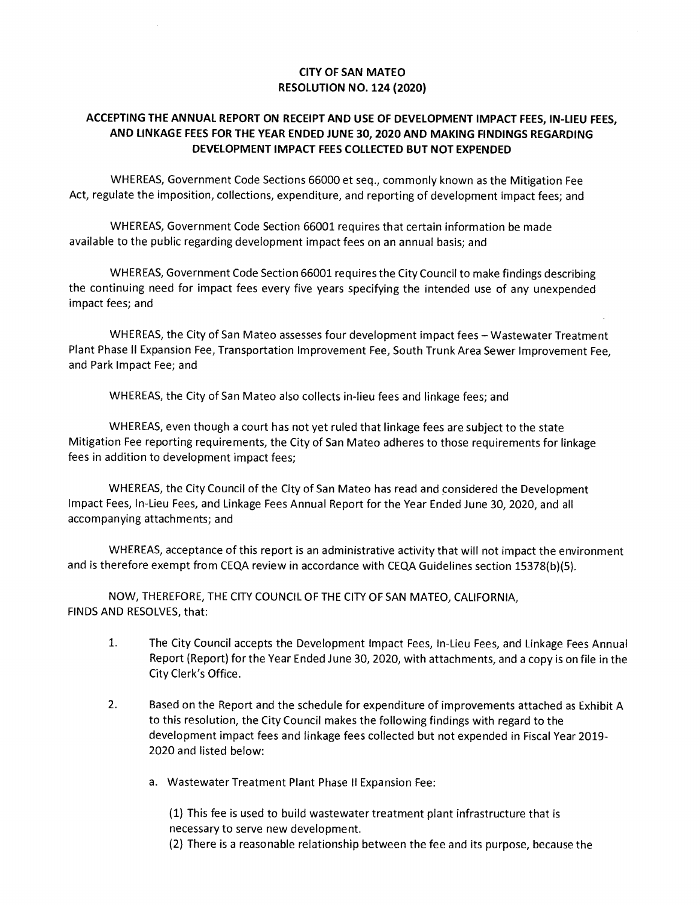# **CITY OF SAN MATEO RESOLUTION NO. 124 (2020)**

# **ACCEPTING THE ANNUAL REPORT ON RECEIPT AND USE OF DEVELOPMENT IMPACT FEES, IN-LIEU FEES, AND LINKAGE FEES FOR THE YEAR ENDED JUNE 30, 2020 AND MAKING FINDINGS REGARDING DEVELOPMENT IMPACT FEES COLLECTED BUT NOT EXPENDED**

WHEREAS, Government Code Sections 66000 et seq., commonly known as the Mitigation Fee Act, regulate the imposition, collections, expenditure, and reporting of development impact fees; and

WHEREAS, Government Code Section 66001 requires that certain information be made available to the public regarding development impact fees on an annual basis; and

WHEREAS, Government Code Section 66001 requires the City Council to make findings describing the continuing need for impact fees every five years specifying the intended use of any unexpended impact fees; and

WHEREAS, the City of San Mateo assesses four development impact fees — Wastewater Treatment Plant Phase II Expansion Fee, Transportation Improvement Fee, South Trunk Area Sewer Improvement Fee, and Park Impact Fee; and

WHEREAS, the City of San Mateo also collects in-lieu fees and linkage fees; and

WHEREAS, even though a court has not yet ruled that linkage fees are subject to the state Mitigation Fee reporting requirements, the City of San Mateo adheres to those requirements for linkage fees in addition to development impact fees;

WHEREAS, the City Council of the City of San Mateo has read and considered the Development Impact Fees, In-Lieu Fees, and Linkage Fees Annual Report for the Year Ended June 30, 2020, and all accompanying attachments; and

WHEREAS, acceptance of this report is an administrative activity that will not impact the environment and is therefore exempt from CEQA review in accordance with CEQA Guidelines section 15378(b)(5).

NOW, THEREFORE, THE CITY COUNCIL OF THE CITY OF SAN MATEO, CALIFORNIA, FINDS AND RESOLVES, that:

- 1. The City Council accepts the Development Impact Fees, In-Lieu Fees, and Linkage Fees Annual Report (Report) for the Year Ended June 30, 2020, with attachments, and a copy is on file in the City Clerk's Office.
- 2. Based on the Report and the schedule for expenditure of improvements attached as Exhibit A to this resolution, the City Council makes the following findings with regard to the development impact fees and linkage fees collected but not expended in Fiscal Year 2019- 2020 and listed below:
	- a. Wastewater Treatment Plant Phase II Expansion Fee:

(1) This fee is used to build wastewater treatment plant infrastructure that is necessary to serve new development.

(2) There is a reasonable relationship between the fee and its purpose, because the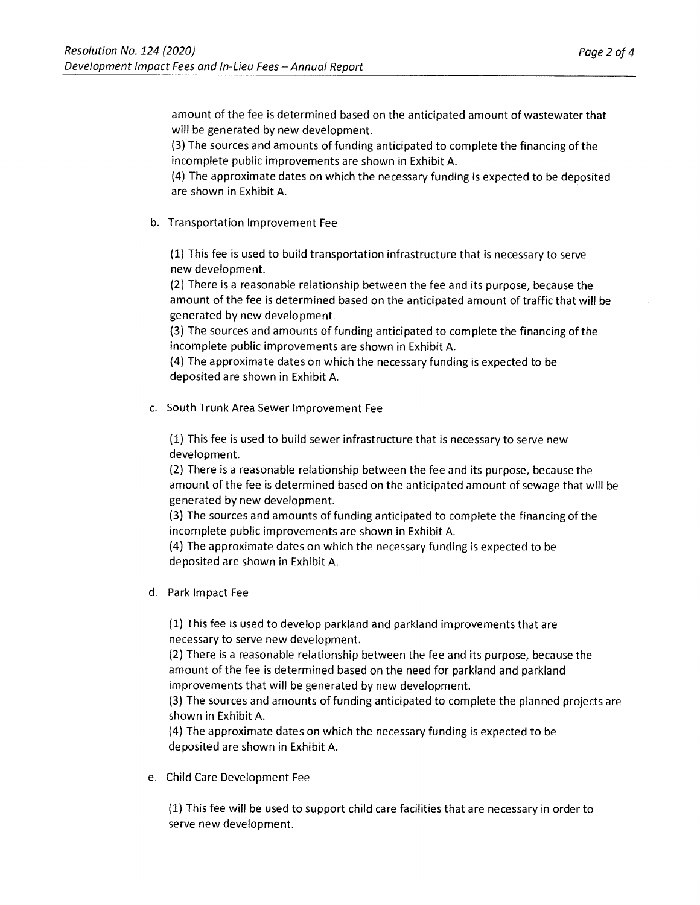amount of the fee is determined based on the anticipated amount of wastewater that will be generated by new development.

(3) The sources and amounts of funding anticipated to complete the financing of the incomplete public improvements are shown in Exhibit A.

(4) The approximate dates on which the necessary funding is expected to be deposited are shown in Exhibit A.

b. Transportation Improvement Fee

(1) This fee is used to build transportation infrastructure that is necessary to serve new development.

(2) There is a reasonable relationship between the fee and its purpose, because the amount of the fee is determined based on the anticipated amount of traffic that will be generated by new development.

(3) The sources and amounts of funding anticipated to complete the financing of the incomplete public improvements are shown in Exhibit A.

(4) The approximate dates on which the necessary funding is expected to be deposited are shown in Exhibit A.

c. South Trunk Area Sewer Improvement Fee

(1) This fee is used to build sewer infrastructure that is necessary to serve new development.

(2) There is a reasonable relationship between the fee and its purpose, because the amount of the fee is determined based on the anticipated amount of sewage that will be generated by new development.

(3) The sources and amounts of funding anticipated to complete the financing of the incomplete public improvements are shown in Exhibit A.

(4) The approximate dates on which the necessary funding is expected to be deposited are shown in Exhibit A.

d. Park Impact Fee

(1) This fee is used to develop parkland and parkland improvements that are necessary to serve new development.

(2) There is a reasonable relationship between the fee and its purpose, because the amount of the fee is determined based on the need for parkland and parkland improvements that will be generated by new development.

(3) The sources and amounts of funding anticipated to complete the planned projects are shown in Exhibit A.

(4) The approximate dates on which the necessary funding is expected to be deposited are shown in Exhibit A.

e. Child Care Development Fee

(1) This fee will be used to support child care facilities that are necessary in order to serve new development.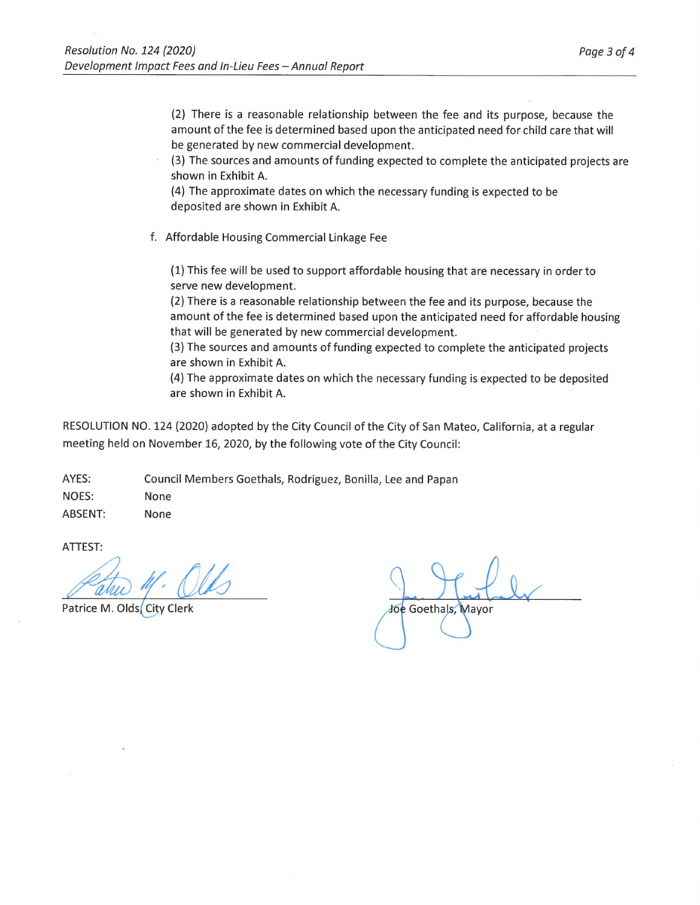(2) There is a reasonable relationship between the fee and its purpose, because the amount of the fee is determined based upon the anticipated need for child care that will be generated by new commercial development.

(3) The sources and amounts of funding expected to complete the anticipated projects are shown in Exhibit A.

(4) The approximate dates on which the necessary funding is expected to be deposited are shown in Exhibit A.

f. Affordable Housing Commercial Linkage Fee

(1) This fee will be used to support affordable housing that are necessary in order to serve new development.

(2) There is a reasonable relationship between the fee and its purpose, because the amount of the fee is determined based upon the anticipated need for affordable housing that will be generated by new commercial development.

(3) The sources and amounts of funding expected to complete the anticipated projects are shown in Exhibit A.

(4) The approximate dates on which the necessary funding is expected to be deposited are shown in Exhibit A.

RESOLUTION NO. 124 (2020) adopted by the City Council of the City of San Mateo, California, at a regular meeting held on November 16, 2020, by the following vote of the City Council:

AYES: Council Members Goethals, Rodriguez, Bonilla, Lee and Papan NOES: None ABSENT: None

ATTEST:

Patrice M. Olds City Clerk

Joe Goethals, Mayor